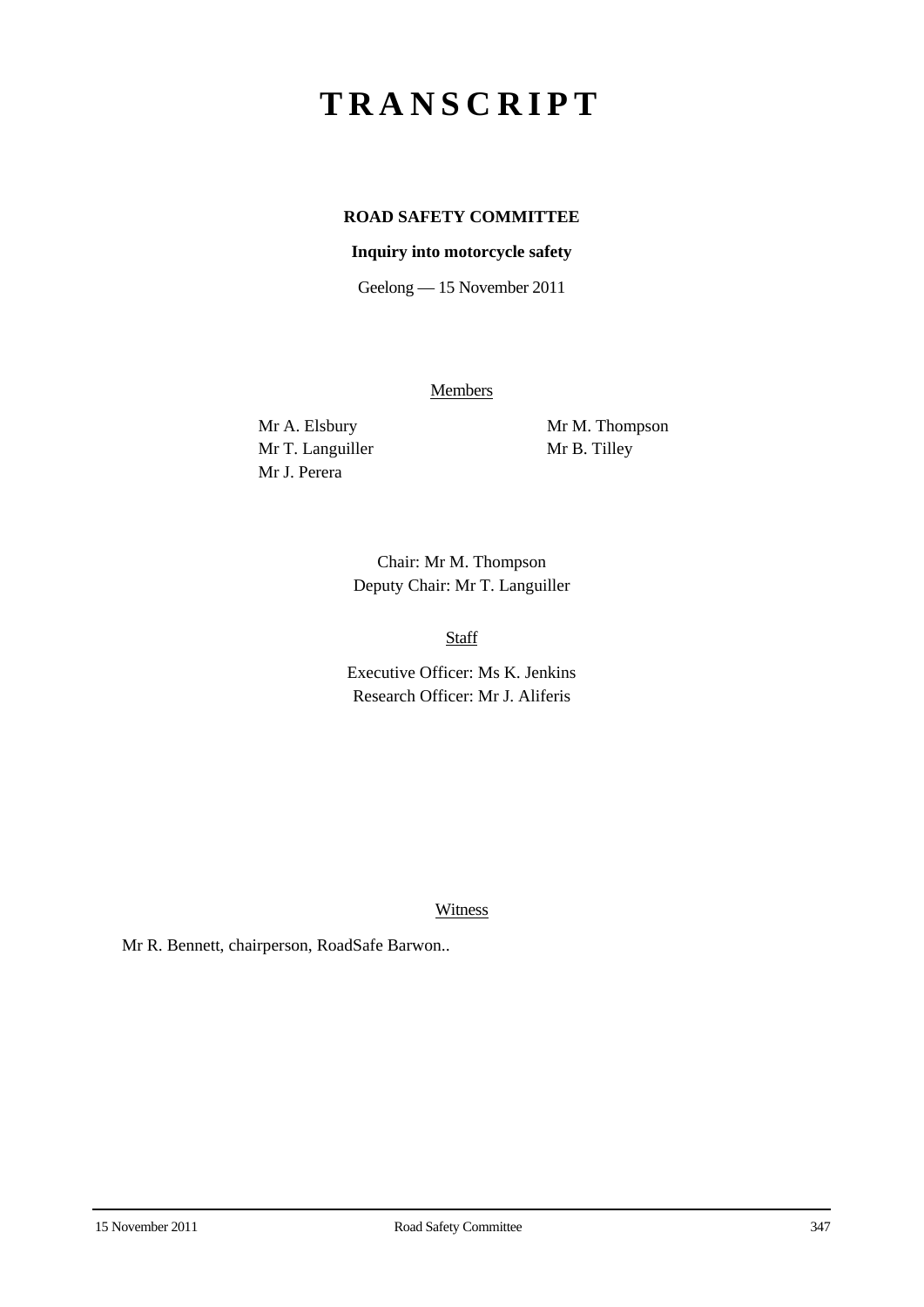## **TRANSCRIPT**

## **ROAD SAFETY COMMITTEE**

## **Inquiry into motorcycle safety**

Geelong — 15 November 2011

**Members** 

Mr T. Languiller Mr B. Tilley Mr J. Perera

Mr A. Elsbury Mr M. Thompson

Chair: Mr M. Thompson Deputy Chair: Mr T. Languiller

Staff

Executive Officer: Ms K. Jenkins Research Officer: Mr J. Aliferis

Witness

Mr R. Bennett, chairperson, RoadSafe Barwon..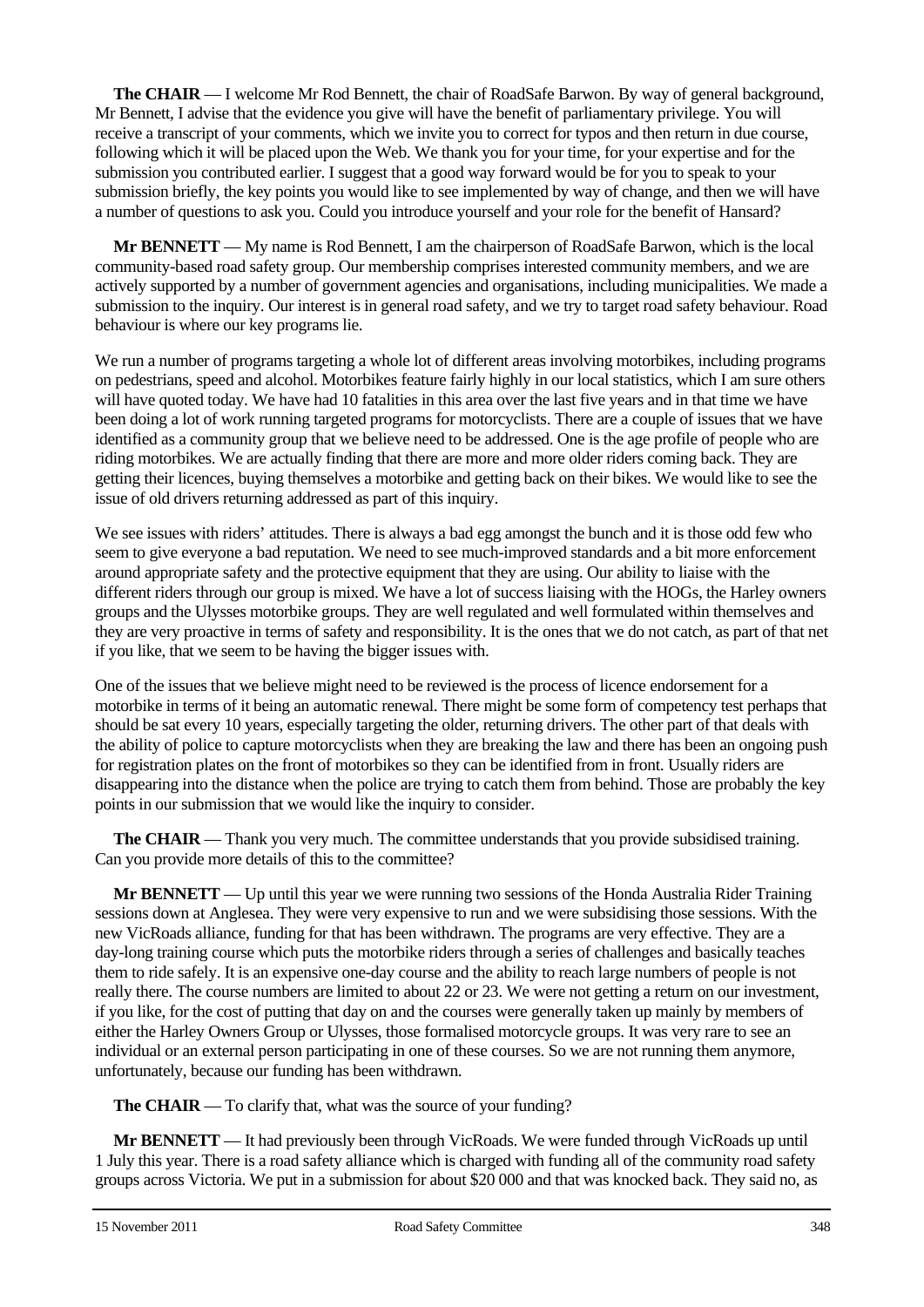**The CHAIR** — I welcome Mr Rod Bennett, the chair of RoadSafe Barwon. By way of general background, Mr Bennett, I advise that the evidence you give will have the benefit of parliamentary privilege. You will receive a transcript of your comments, which we invite you to correct for typos and then return in due course, following which it will be placed upon the Web. We thank you for your time, for your expertise and for the submission you contributed earlier. I suggest that a good way forward would be for you to speak to your submission briefly, the key points you would like to see implemented by way of change, and then we will have a number of questions to ask you. Could you introduce yourself and your role for the benefit of Hansard?

**Mr BENNETT** — My name is Rod Bennett, I am the chairperson of RoadSafe Barwon, which is the local community-based road safety group. Our membership comprises interested community members, and we are actively supported by a number of government agencies and organisations, including municipalities. We made a submission to the inquiry. Our interest is in general road safety, and we try to target road safety behaviour. Road behaviour is where our key programs lie.

We run a number of programs targeting a whole lot of different areas involving motorbikes, including programs on pedestrians, speed and alcohol. Motorbikes feature fairly highly in our local statistics, which I am sure others will have quoted today. We have had 10 fatalities in this area over the last five years and in that time we have been doing a lot of work running targeted programs for motorcyclists. There are a couple of issues that we have identified as a community group that we believe need to be addressed. One is the age profile of people who are riding motorbikes. We are actually finding that there are more and more older riders coming back. They are getting their licences, buying themselves a motorbike and getting back on their bikes. We would like to see the issue of old drivers returning addressed as part of this inquiry.

We see issues with riders' attitudes. There is always a bad egg amongst the bunch and it is those odd few who seem to give everyone a bad reputation. We need to see much-improved standards and a bit more enforcement around appropriate safety and the protective equipment that they are using. Our ability to liaise with the different riders through our group is mixed. We have a lot of success liaising with the HOGs, the Harley owners groups and the Ulysses motorbike groups. They are well regulated and well formulated within themselves and they are very proactive in terms of safety and responsibility. It is the ones that we do not catch, as part of that net if you like, that we seem to be having the bigger issues with.

One of the issues that we believe might need to be reviewed is the process of licence endorsement for a motorbike in terms of it being an automatic renewal. There might be some form of competency test perhaps that should be sat every 10 years, especially targeting the older, returning drivers. The other part of that deals with the ability of police to capture motorcyclists when they are breaking the law and there has been an ongoing push for registration plates on the front of motorbikes so they can be identified from in front. Usually riders are disappearing into the distance when the police are trying to catch them from behind. Those are probably the key points in our submission that we would like the inquiry to consider.

**The CHAIR** — Thank you very much. The committee understands that you provide subsidised training. Can you provide more details of this to the committee?

**Mr BENNETT** — Up until this year we were running two sessions of the Honda Australia Rider Training sessions down at Anglesea. They were very expensive to run and we were subsidising those sessions. With the new VicRoads alliance, funding for that has been withdrawn. The programs are very effective. They are a day-long training course which puts the motorbike riders through a series of challenges and basically teaches them to ride safely. It is an expensive one-day course and the ability to reach large numbers of people is not really there. The course numbers are limited to about 22 or 23. We were not getting a return on our investment, if you like, for the cost of putting that day on and the courses were generally taken up mainly by members of either the Harley Owners Group or Ulysses, those formalised motorcycle groups. It was very rare to see an individual or an external person participating in one of these courses. So we are not running them anymore, unfortunately, because our funding has been withdrawn.

**The CHAIR** — To clarify that, what was the source of your funding?

**Mr BENNETT** — It had previously been through VicRoads. We were funded through VicRoads up until 1 July this year. There is a road safety alliance which is charged with funding all of the community road safety groups across Victoria. We put in a submission for about \$20 000 and that was knocked back. They said no, as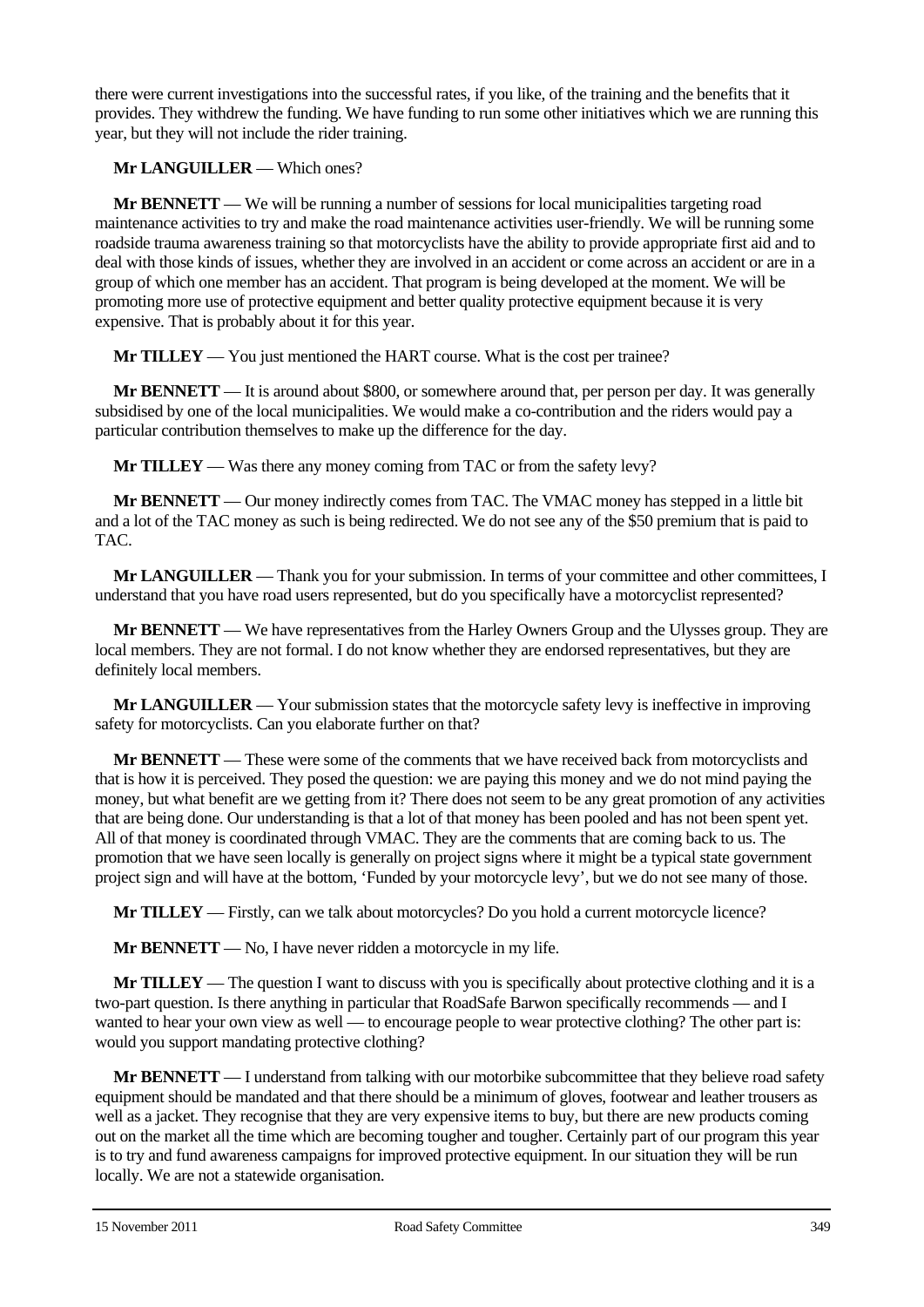there were current investigations into the successful rates, if you like, of the training and the benefits that it provides. They withdrew the funding. We have funding to run some other initiatives which we are running this year, but they will not include the rider training.

**Mr LANGUILLER** — Which ones?

**Mr BENNETT** — We will be running a number of sessions for local municipalities targeting road maintenance activities to try and make the road maintenance activities user-friendly. We will be running some roadside trauma awareness training so that motorcyclists have the ability to provide appropriate first aid and to deal with those kinds of issues, whether they are involved in an accident or come across an accident or are in a group of which one member has an accident. That program is being developed at the moment. We will be promoting more use of protective equipment and better quality protective equipment because it is very expensive. That is probably about it for this year.

**Mr TILLEY** — You just mentioned the HART course. What is the cost per trainee?

**Mr BENNETT** — It is around about \$800, or somewhere around that, per person per day. It was generally subsidised by one of the local municipalities. We would make a co-contribution and the riders would pay a particular contribution themselves to make up the difference for the day.

**Mr TILLEY** — Was there any money coming from TAC or from the safety levy?

**Mr BENNETT** — Our money indirectly comes from TAC. The VMAC money has stepped in a little bit and a lot of the TAC money as such is being redirected. We do not see any of the \$50 premium that is paid to TAC.

**Mr LANGUILLER** — Thank you for your submission. In terms of your committee and other committees, I understand that you have road users represented, but do you specifically have a motorcyclist represented?

**Mr BENNETT** — We have representatives from the Harley Owners Group and the Ulysses group. They are local members. They are not formal. I do not know whether they are endorsed representatives, but they are definitely local members.

**Mr LANGUILLER** — Your submission states that the motorcycle safety levy is ineffective in improving safety for motorcyclists. Can you elaborate further on that?

**Mr BENNETT** — These were some of the comments that we have received back from motorcyclists and that is how it is perceived. They posed the question: we are paying this money and we do not mind paying the money, but what benefit are we getting from it? There does not seem to be any great promotion of any activities that are being done. Our understanding is that a lot of that money has been pooled and has not been spent yet. All of that money is coordinated through VMAC. They are the comments that are coming back to us. The promotion that we have seen locally is generally on project signs where it might be a typical state government project sign and will have at the bottom, 'Funded by your motorcycle levy', but we do not see many of those.

**Mr TILLEY** — Firstly, can we talk about motorcycles? Do you hold a current motorcycle licence?

**Mr BENNETT** — No, I have never ridden a motorcycle in my life.

**Mr TILLEY** — The question I want to discuss with you is specifically about protective clothing and it is a two-part question. Is there anything in particular that RoadSafe Barwon specifically recommends — and I wanted to hear your own view as well — to encourage people to wear protective clothing? The other part is: would you support mandating protective clothing?

**Mr BENNETT** — I understand from talking with our motorbike subcommittee that they believe road safety equipment should be mandated and that there should be a minimum of gloves, footwear and leather trousers as well as a jacket. They recognise that they are very expensive items to buy, but there are new products coming out on the market all the time which are becoming tougher and tougher. Certainly part of our program this year is to try and fund awareness campaigns for improved protective equipment. In our situation they will be run locally. We are not a statewide organisation.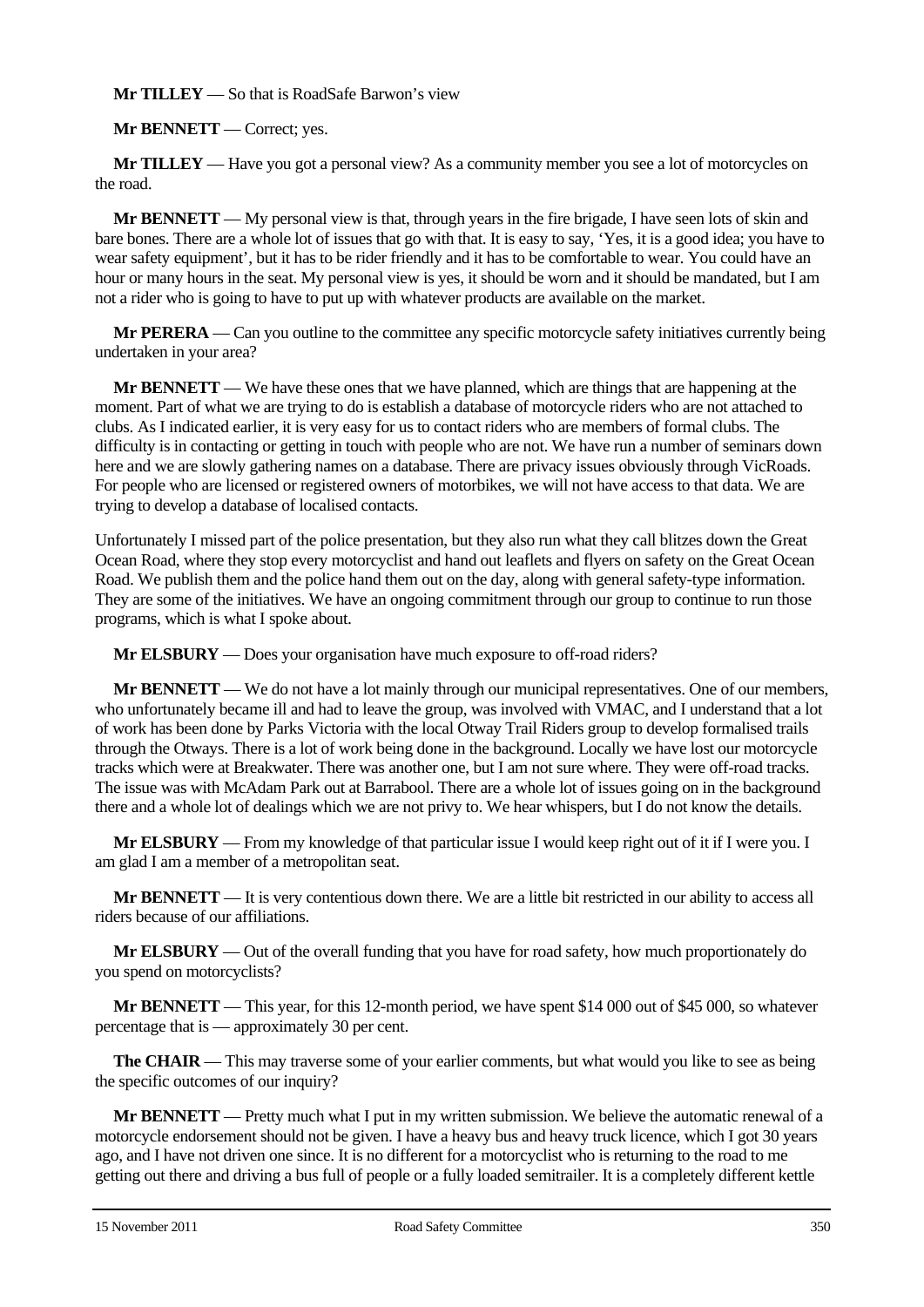**Mr TILLEY** — So that is RoadSafe Barwon's view

**Mr BENNETT** — Correct; yes.

**Mr TILLEY** — Have you got a personal view? As a community member you see a lot of motorcycles on the road.

**Mr BENNETT** — My personal view is that, through years in the fire brigade, I have seen lots of skin and bare bones. There are a whole lot of issues that go with that. It is easy to say, 'Yes, it is a good idea; you have to wear safety equipment', but it has to be rider friendly and it has to be comfortable to wear. You could have an hour or many hours in the seat. My personal view is yes, it should be worn and it should be mandated, but I am not a rider who is going to have to put up with whatever products are available on the market.

**Mr PERERA** — Can you outline to the committee any specific motorcycle safety initiatives currently being undertaken in your area?

**Mr BENNETT** — We have these ones that we have planned, which are things that are happening at the moment. Part of what we are trying to do is establish a database of motorcycle riders who are not attached to clubs. As I indicated earlier, it is very easy for us to contact riders who are members of formal clubs. The difficulty is in contacting or getting in touch with people who are not. We have run a number of seminars down here and we are slowly gathering names on a database. There are privacy issues obviously through VicRoads. For people who are licensed or registered owners of motorbikes, we will not have access to that data. We are trying to develop a database of localised contacts.

Unfortunately I missed part of the police presentation, but they also run what they call blitzes down the Great Ocean Road, where they stop every motorcyclist and hand out leaflets and flyers on safety on the Great Ocean Road. We publish them and the police hand them out on the day, along with general safety-type information. They are some of the initiatives. We have an ongoing commitment through our group to continue to run those programs, which is what I spoke about.

**Mr ELSBURY** — Does your organisation have much exposure to off-road riders?

**Mr BENNETT** — We do not have a lot mainly through our municipal representatives. One of our members, who unfortunately became ill and had to leave the group, was involved with VMAC, and I understand that a lot of work has been done by Parks Victoria with the local Otway Trail Riders group to develop formalised trails through the Otways. There is a lot of work being done in the background. Locally we have lost our motorcycle tracks which were at Breakwater. There was another one, but I am not sure where. They were off-road tracks. The issue was with McAdam Park out at Barrabool. There are a whole lot of issues going on in the background there and a whole lot of dealings which we are not privy to. We hear whispers, but I do not know the details.

**Mr ELSBURY** — From my knowledge of that particular issue I would keep right out of it if I were you. I am glad I am a member of a metropolitan seat.

**Mr BENNETT** — It is very contentious down there. We are a little bit restricted in our ability to access all riders because of our affiliations.

**Mr ELSBURY** — Out of the overall funding that you have for road safety, how much proportionately do you spend on motorcyclists?

**Mr BENNETT** — This year, for this 12-month period, we have spent \$14 000 out of \$45 000, so whatever percentage that is — approximately 30 per cent.

**The CHAIR** — This may traverse some of your earlier comments, but what would you like to see as being the specific outcomes of our inquiry?

**Mr BENNETT** — Pretty much what I put in my written submission. We believe the automatic renewal of a motorcycle endorsement should not be given. I have a heavy bus and heavy truck licence, which I got 30 years ago, and I have not driven one since. It is no different for a motorcyclist who is returning to the road to me getting out there and driving a bus full of people or a fully loaded semitrailer. It is a completely different kettle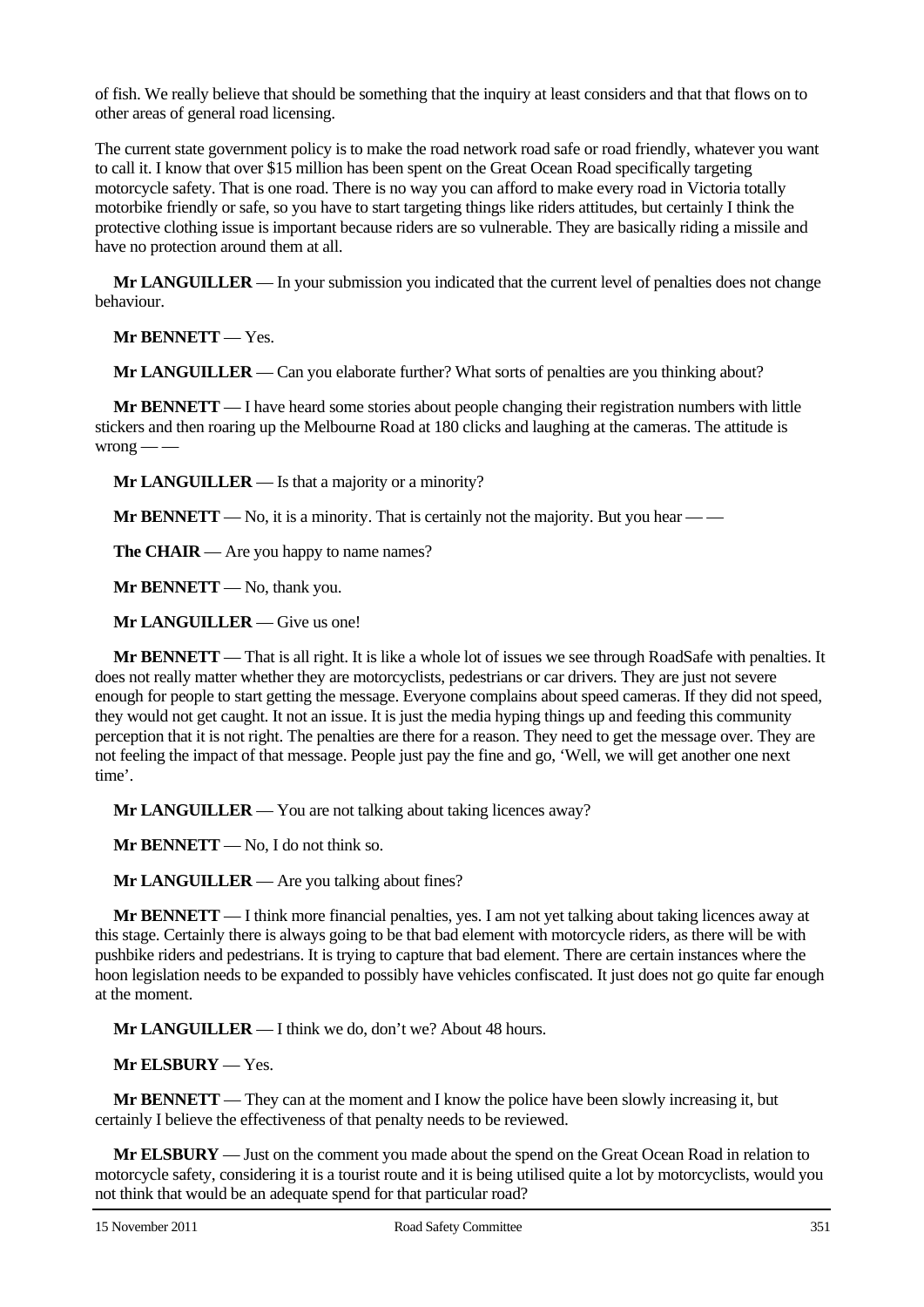of fish. We really believe that should be something that the inquiry at least considers and that that flows on to other areas of general road licensing.

The current state government policy is to make the road network road safe or road friendly, whatever you want to call it. I know that over \$15 million has been spent on the Great Ocean Road specifically targeting motorcycle safety. That is one road. There is no way you can afford to make every road in Victoria totally motorbike friendly or safe, so you have to start targeting things like riders attitudes, but certainly I think the protective clothing issue is important because riders are so vulnerable. They are basically riding a missile and have no protection around them at all.

**Mr LANGUILLER** — In your submission you indicated that the current level of penalties does not change behaviour.

**Mr BENNETT** — Yes.

**Mr LANGUILLER** — Can you elaborate further? What sorts of penalties are you thinking about?

**Mr BENNETT** — I have heard some stories about people changing their registration numbers with little stickers and then roaring up the Melbourne Road at 180 clicks and laughing at the cameras. The attitude is  $wrong$  — —

**Mr LANGUILLER** — Is that a majority or a minority?

**Mr BENNETT** — No, it is a minority. That is certainly not the majority. But you hear — —

**The CHAIR** — Are you happy to name names?

**Mr BENNETT** — No, thank you.

**Mr LANGUILLER** — Give us one!

**Mr BENNETT** — That is all right. It is like a whole lot of issues we see through RoadSafe with penalties. It does not really matter whether they are motorcyclists, pedestrians or car drivers. They are just not severe enough for people to start getting the message. Everyone complains about speed cameras. If they did not speed, they would not get caught. It not an issue. It is just the media hyping things up and feeding this community perception that it is not right. The penalties are there for a reason. They need to get the message over. They are not feeling the impact of that message. People just pay the fine and go, 'Well, we will get another one next time'.

**Mr LANGUILLER** — You are not talking about taking licences away?

**Mr BENNETT** — No, I do not think so.

**Mr LANGUILLER** — Are you talking about fines?

**Mr BENNETT** — I think more financial penalties, yes. I am not yet talking about taking licences away at this stage. Certainly there is always going to be that bad element with motorcycle riders, as there will be with pushbike riders and pedestrians. It is trying to capture that bad element. There are certain instances where the hoon legislation needs to be expanded to possibly have vehicles confiscated. It just does not go quite far enough at the moment.

**Mr LANGUILLER** — I think we do, don't we? About 48 hours.

**Mr ELSBURY** — Yes.

**Mr BENNETT** — They can at the moment and I know the police have been slowly increasing it, but certainly I believe the effectiveness of that penalty needs to be reviewed.

**Mr ELSBURY** — Just on the comment you made about the spend on the Great Ocean Road in relation to motorcycle safety, considering it is a tourist route and it is being utilised quite a lot by motorcyclists, would you not think that would be an adequate spend for that particular road?